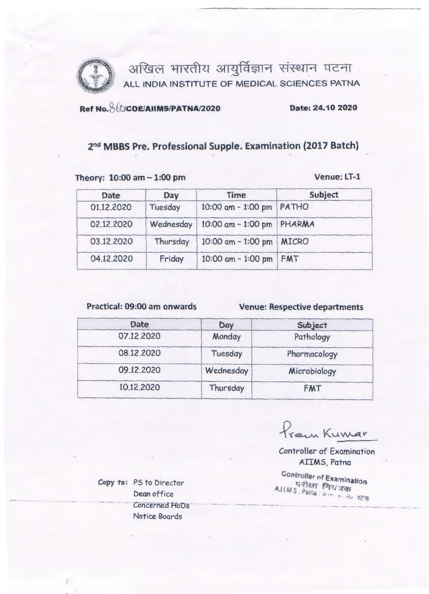

# Ref No. 860/COE/AIIMS/PATNA/2020

### Date: 24.10 2020

## 2<sup>nd</sup> MBBS Pre. Professional Supple. Examination (2017 Batch)

#### Theory: 10:00 am - 1:00 pm

Venue: LT-1

| <b>Date</b> | Day       | <b>Time</b>                 | Subject    |
|-------------|-----------|-----------------------------|------------|
| 01.12.2020  | Tuesday   | $10:00$ am $-1:00$ pm       | PATHO      |
| 02.12.2020  | Wednesday | 10:00 am - 1:00 pm   PHARMA |            |
| 03.12.2020  | Thursday  | 10:00 am - 1:00 pm   MICRO  |            |
| 04.12.2020  | Friday    | 10:00 $am - 1:00 pm$        | <b>FMT</b> |

Practical: 09:00 am onwards

**Venue: Respective departments** 

| <b>Date</b> | Day       | Subject      |
|-------------|-----------|--------------|
| 07.12.2020  | Monday    | Pathology    |
| 08.12.2020  | Tuesday   | Pharmacology |
| 09.12.2020  | Wednesday | Microbiology |
| 10.12.2020  | Thursday  | <b>FMT</b>   |

Prem Kumar

**Controller of Examination** AIIMS, Patna

**Controller of Examination** A.I.I.M S. Patna / अण्लालकारण पटना

Copy to: PS to Director Dean office Concerned HoDs Notice Boards